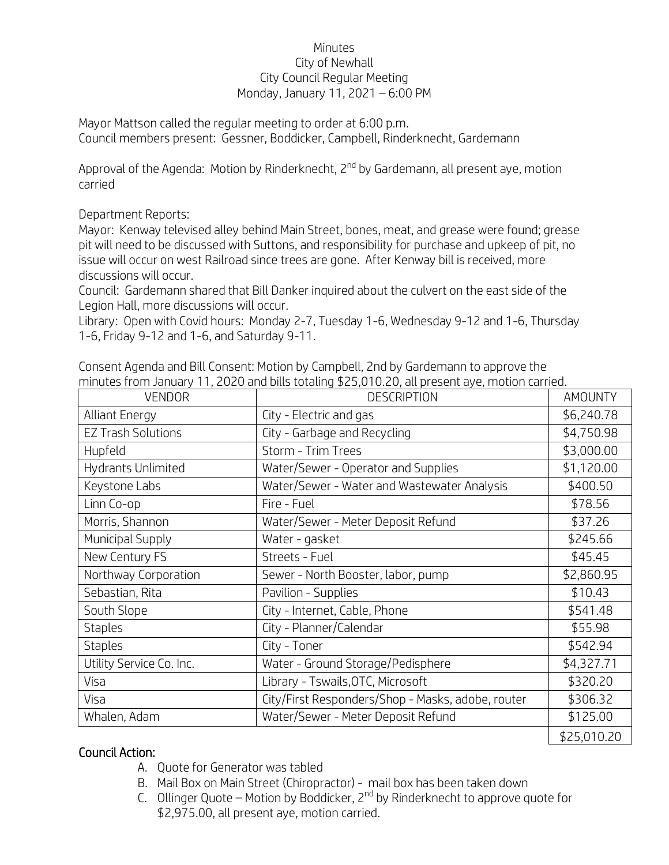## Minutes City of Newhall City Council Regular Meeting Monday, January 11, 2021 – 6:00 PM

Mayor Mattson called the regular meeting to order at 6:00 p.m. Council members present: Gessner, Boddicker, Campbell, Rinderknecht, Gardemann

Approval of the Agenda: Motion by Rinderknecht, 2<sup>nd</sup> by Gardemann, all present aye, motion carried

Department Reports:

Mayor: Kenway televised alley behind Main Street, bones, meat, and grease were found; grease pit will need to be discussed with Suttons, and responsibility for purchase and upkeep of pit, no issue will occur on west Railroad since trees are gone. After Kenway bill is received, more discussions will occur.

Council: Gardemann shared that Bill Danker inquired about the culvert on the east side of the Legion Hall, more discussions will occur.

Library: Open with Covid hours: Monday 2-7, Tuesday 1-6, Wednesday 9-12 and 1-6, Thursday 1-6, Friday 9-12 and 1-6, and Saturday 9-11.

| <b>VENDOR</b>             | <b>DESCRIPTION</b>                                | <b>AMOUNTY</b> |
|---------------------------|---------------------------------------------------|----------------|
| <b>Alliant Energy</b>     | City - Electric and gas                           | \$6,240.78     |
| <b>EZ Trash Solutions</b> | City - Garbage and Recycling                      | \$4,750.98     |
| Hupfeld                   | Storm - Trim Trees                                | \$3,000.00     |
| Hydrants Unlimited        | Water/Sewer - Operator and Supplies               | \$1,120.00     |
| Keystone Labs             | Water/Sewer - Water and Wastewater Analysis       | \$400.50       |
| Linn Co-op                | Fire - Fuel                                       | \$78.56        |
| Morris, Shannon           | Water/Sewer - Meter Deposit Refund                | \$37.26        |
| Municipal Supply          | Water - gasket                                    | \$245.66       |
| New Century FS            | Streets - Fuel                                    | \$45.45        |
| Northway Corporation      | Sewer - North Booster, labor, pump                | \$2,860.95     |
| Sebastian, Rita           | Pavilion - Supplies                               | \$10.43        |
| South Slope               | City - Internet, Cable, Phone                     | \$541.48       |
| <b>Staples</b>            | City - Planner/Calendar                           | \$55.98        |
| <b>Staples</b>            | City - Toner                                      | \$542.94       |
| Utility Service Co. Inc.  | Water - Ground Storage/Pedisphere                 | \$4,327.71     |
| Visa                      | Library - Tswails, OTC, Microsoft                 | \$320.20       |
| Visa                      | City/First Responders/Shop - Masks, adobe, router | \$306.32       |
| Whalen, Adam              | Water/Sewer - Meter Deposit Refund                | \$125.00       |
|                           |                                                   | \$25,010.20    |

Consent Agenda and Bill Consent: Motion by Campbell, 2nd by Gardemann to approve the minutes from January 11, 2020 and bills totaling \$25,010.20, all present aye, motion carried.

## Council Action:

- A. Quote for Generator was tabled
- B. Mail Box on Main Street (Chiropractor) mail box has been taken down
- C. Ollinger Quote Motion by Boddicker,  $2^{nd}$  by Rinderknecht to approve quote for \$2,975.00, all present aye, motion carried.